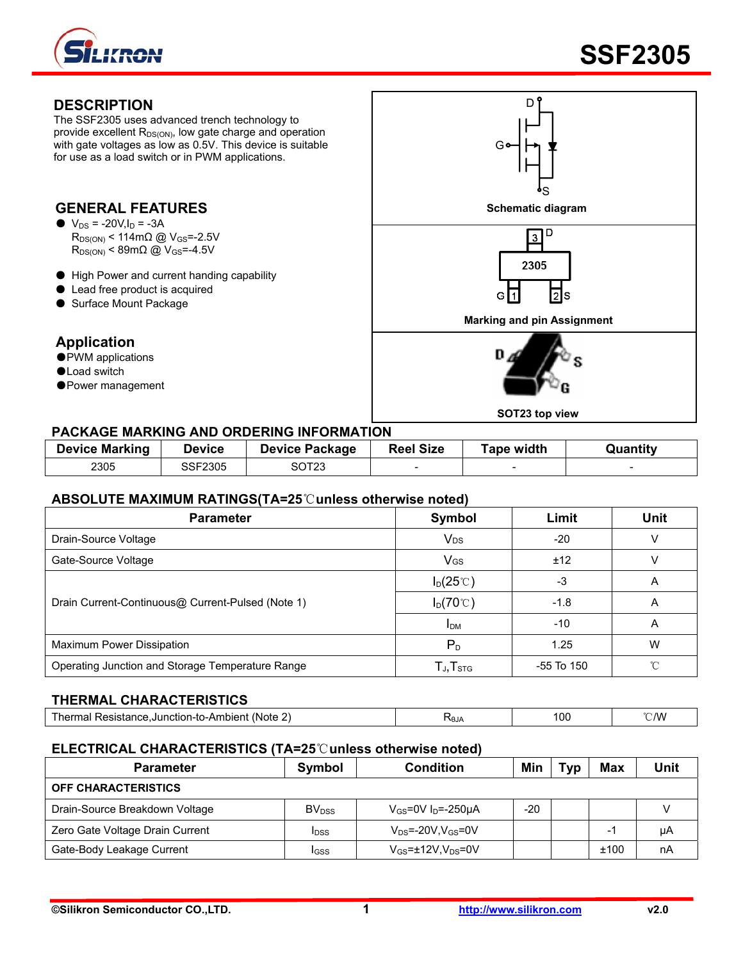

The SSF2305 uses advanced trench technology to provide excellent  $R_{DS(ON)}$ , low gate charge and operation with gate voltages as low as 0.5V. This device is suitable for use as a load switch or in PWM applications.

# $\bullet$  V<sub>DS</sub> = -20V, I<sub>D</sub> = -3A

- $R_{DS(ON)}$  < 114m $\Omega$  @ V<sub>GS</sub>=-2.5V  $R_{DS(ON)}$  < 89m $\Omega$  @ V<sub>GS</sub>=-4.5V
- High Power and current handing capability
- Lead free product is acquired
- Surface Mount Package

#### **Application**

- PWM applications
- ●Load switch
- ●Power management



#### **PACKAGE MARKING AND ORDERING INFORMATION**

| <b>Device Marking</b> | <b>Device</b> | <b>Device Package</b> | <b>Reel Size</b> | Tape width | Quantitv |
|-----------------------|---------------|-----------------------|------------------|------------|----------|
| 2305                  | SSF2305       | SOT23                 | -                |            |          |

#### **ABSOLUTE MAXIMUM RATINGS(TA=25**℃**unless otherwise noted)**

| <b>Parameter</b>                                  | Symbol                                               | Limit        | <b>Unit</b> |
|---------------------------------------------------|------------------------------------------------------|--------------|-------------|
| Drain-Source Voltage                              | <b>V<sub>DS</sub></b>                                | $-20$        | V           |
| Gate-Source Voltage                               | <b>V<sub>GS</sub></b>                                | ±12          |             |
|                                                   | $I_D(25^{\circ}C)$                                   | -3           | A           |
| Drain Current-Continuous@ Current-Pulsed (Note 1) | $I_D(70^{\circ}C)$                                   | $-1.8$       | A           |
|                                                   | <b>I</b> <sub>DM</sub>                               | $-10$        | A           |
| Maximum Power Dissipation                         | $P_D$                                                | 1.25         | W           |
| Operating Junction and Storage Temperature Range  | $\mathsf{T}_{\mathsf{J}}, \mathsf{T}_{\textsf{STG}}$ | $-55$ To 150 | °∩°         |

#### **THERMAL CHARACTERISTICS**

| --<br>--<br>- -- -<br>(Note<br>1-LC<br>nı<br>m<br>.<br>- | <b>ALBZ</b> | 100 | ۱W |
|----------------------------------------------------------|-------------|-----|----|
|                                                          |             |     |    |

#### **ELECTRICAL CHARACTERISTICS (TA=25**℃**unless otherwise noted)**

| <b>Parameter</b>                | Symbol                   | <b>Condition</b>                    | Min | Typ | Max                      | Unit |
|---------------------------------|--------------------------|-------------------------------------|-----|-----|--------------------------|------|
| <b>OFF CHARACTERISTICS</b>      |                          |                                     |     |     |                          |      |
| Drain-Source Breakdown Voltage  | <b>BV</b> <sub>DSS</sub> | $V_{GS}$ =0V I <sub>D</sub> =-250µA | -20 |     |                          |      |
| Zero Gate Voltage Drain Current | <b>IDSS</b>              | $V_{DS}$ =-20V,V $_{GS}$ =0V        |     |     | $\overline{\phantom{0}}$ | μA   |
| Gate-Body Leakage Current       | <b>IGSS</b>              | $V_{GS}$ =±12V, $V_{DS}$ =0V        |     |     | ±100                     | nA   |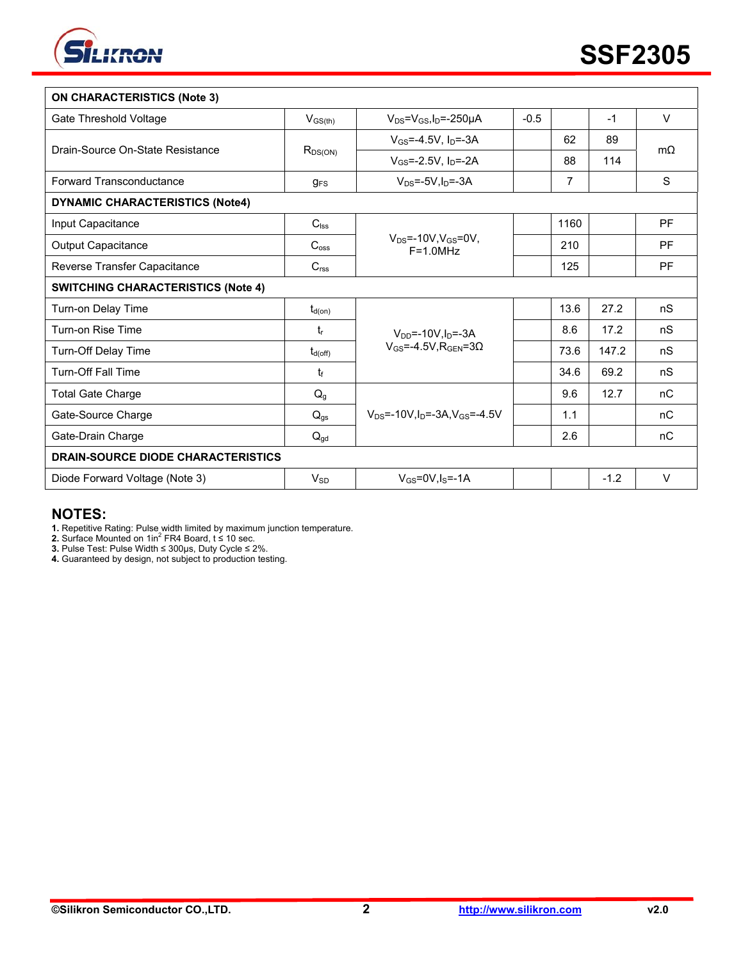

| <b>ON CHARACTERISTICS (Note 3)</b>        |                        |                                                             |        |      |        |                |
|-------------------------------------------|------------------------|-------------------------------------------------------------|--------|------|--------|----------------|
| Gate Threshold Voltage                    | $V_{GS(th)}$           | $V_{DS} = V_{GS}I_D = -250 \mu A$                           | $-0.5$ |      | $-1$   | $\vee$         |
| Drain-Source On-State Resistance          | $R_{DS(ON)}$           | $V_{GS} = -4.5V$ , $I_D = -3A$                              |        | 62   | 89     | $m\Omega$      |
|                                           |                        | $V_{GS} = -2.5V$ , $I_{D} = -2A$                            |        | 88   | 114    |                |
| Forward Transconductance                  | <b>g</b> <sub>FS</sub> | $V_{DS}$ =-5V, $I_D$ =-3A                                   |        | 7    |        | S              |
| <b>DYNAMIC CHARACTERISTICS (Note4)</b>    |                        |                                                             |        |      |        |                |
| Input Capacitance                         | $C_{\text{lss}}$       |                                                             |        | 1160 |        | PF             |
| Output Capacitance                        | $C_{\rm oss}$          | $V_{DS} = -10V, V_{GS} = 0V,$<br>$F = 1.0 MHz$              |        | 210  |        | PF             |
| Reverse Transfer Capacitance              | C <sub>rss</sub>       |                                                             |        | 125  |        | PF             |
| <b>SWITCHING CHARACTERISTICS (Note 4)</b> |                        |                                                             |        |      |        |                |
| Turn-on Delay Time                        | $t_{d(on)}$            |                                                             |        | 13.6 | 27.2   | n <sub>S</sub> |
| Turn-on Rise Time                         | tr                     | $V_{DD} = -10V_{\text{th}} = -3A$                           |        | 8.6  | 17.2   | nS             |
| Turn-Off Delay Time                       | $t_{d(off)}$           | $V_{GS} = -4.5V$ , RGEN=30                                  |        | 73.6 | 147.2  | nS             |
| <b>Turn-Off Fall Time</b>                 | $t_{\rm f}$            |                                                             |        | 34.6 | 69.2   | nS             |
| <b>Total Gate Charge</b>                  | Q <sub>g</sub>         |                                                             |        | 9.6  | 12.7   | nC             |
| Gate-Source Charge                        | $Q_{gs}$               | $V_{DS}$ =-10V, I <sub>D</sub> =-3A, V <sub>GS</sub> =-4.5V |        | 1.1  |        | nC             |
| Gate-Drain Charge                         | $Q_{\text{gd}}$        |                                                             |        | 2.6  |        | nC             |
| <b>DRAIN-SOURCE DIODE CHARACTERISTICS</b> |                        |                                                             |        |      |        |                |
| Diode Forward Voltage (Note 3)            | $V_{SD}$               | $V_{GS}$ =0V.ls=-1A                                         |        |      | $-1.2$ | $\vee$         |

### **NOTES:**

**1.** Repetitive Rating: Pulse width limited by maximum junction temperature.<br>**2.** Surface Mounted on 1in<sup>2</sup> FR4 Board, t ≤ 10 sec.

**3.** Pulse Test: Pulse Width ≤ 300μs, Duty Cycle ≤ 2%.

**4.** Guaranteed by design, not subject to production testing.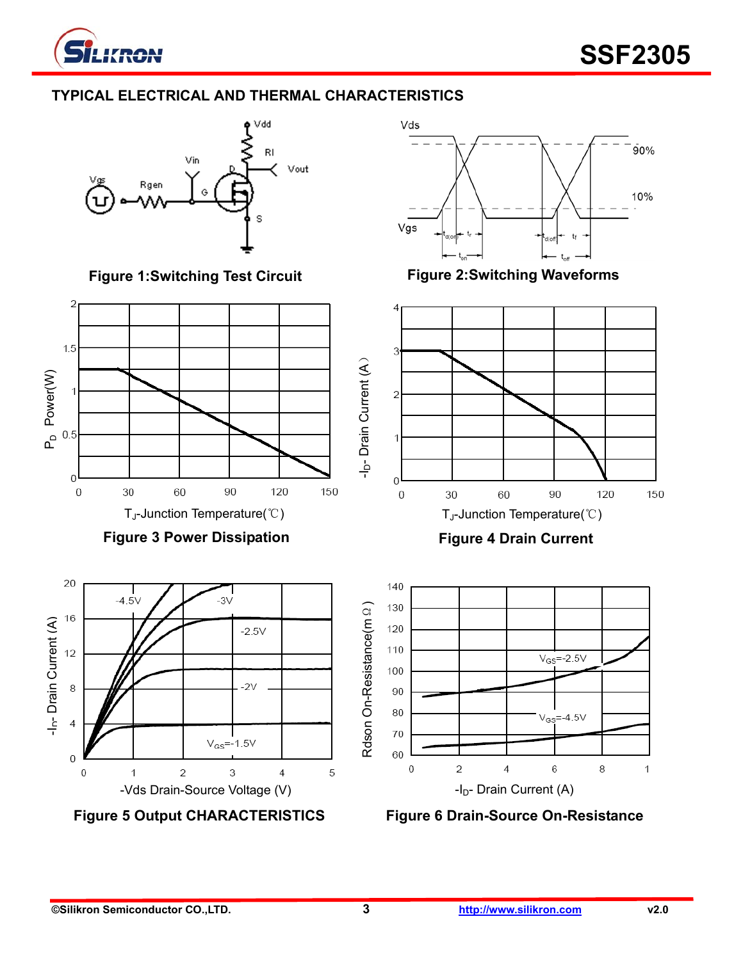

 $\overline{2}$ 

### **TYPICAL ELECTRICAL AND THERMAL CHARACTERISTICS**



Figure 1:Switching Test Circuit Figure 2:Switching Waveforms





**Figure 5 Output CHARACTERISTICS Figure 6 Drain-Source On-Resistance**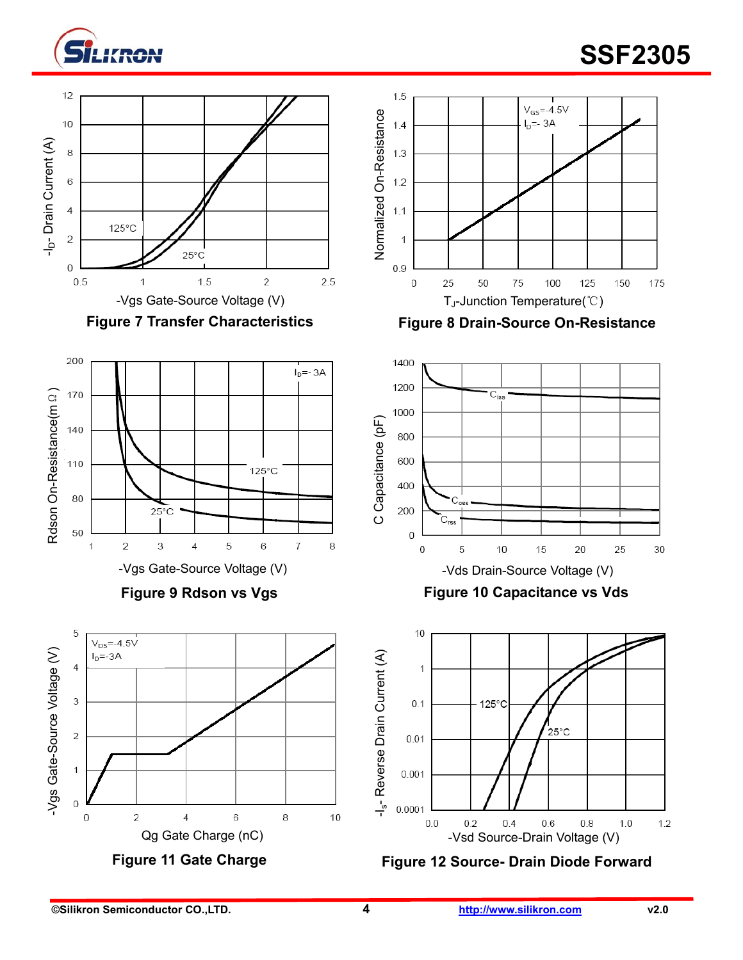

# **EXPONENT CONSUMING A LIMIT CONSUMING A LIMIT CONSUMING A LIMIT CONSUMING A LIMIT CONSUMING A LIMIT CONSUMING A**













**Figure 10 Capacitance vs Vds** 



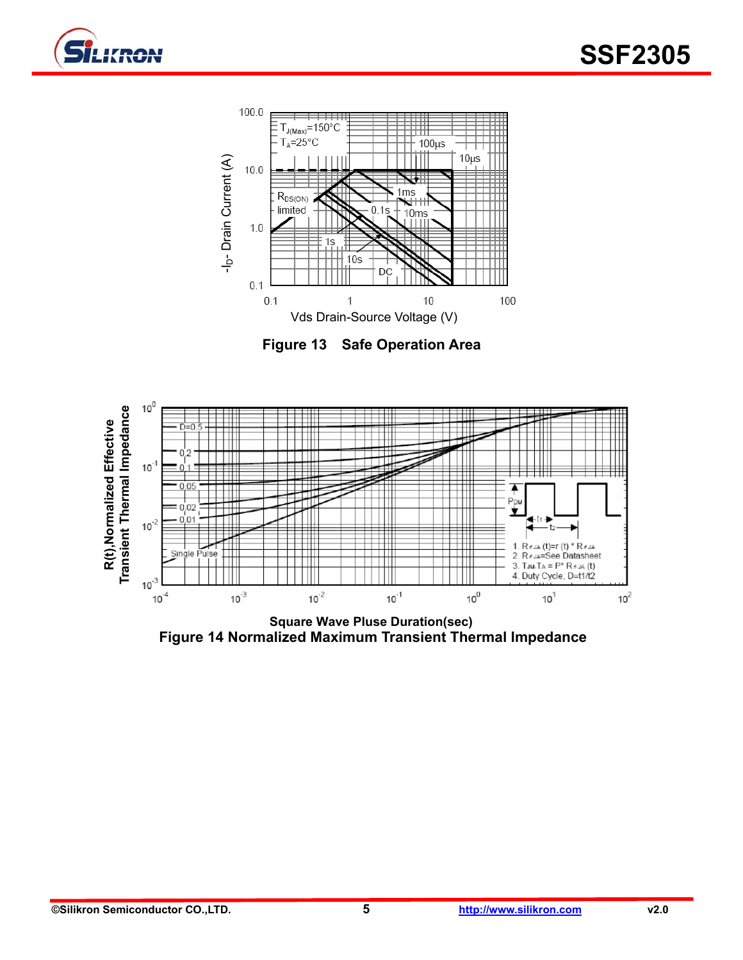





**Figure 13 Safe Operation Area** 



**Square Wave Pluse Duration(sec) Figure 14 Normalized Maximum Transient Thermal Impedance**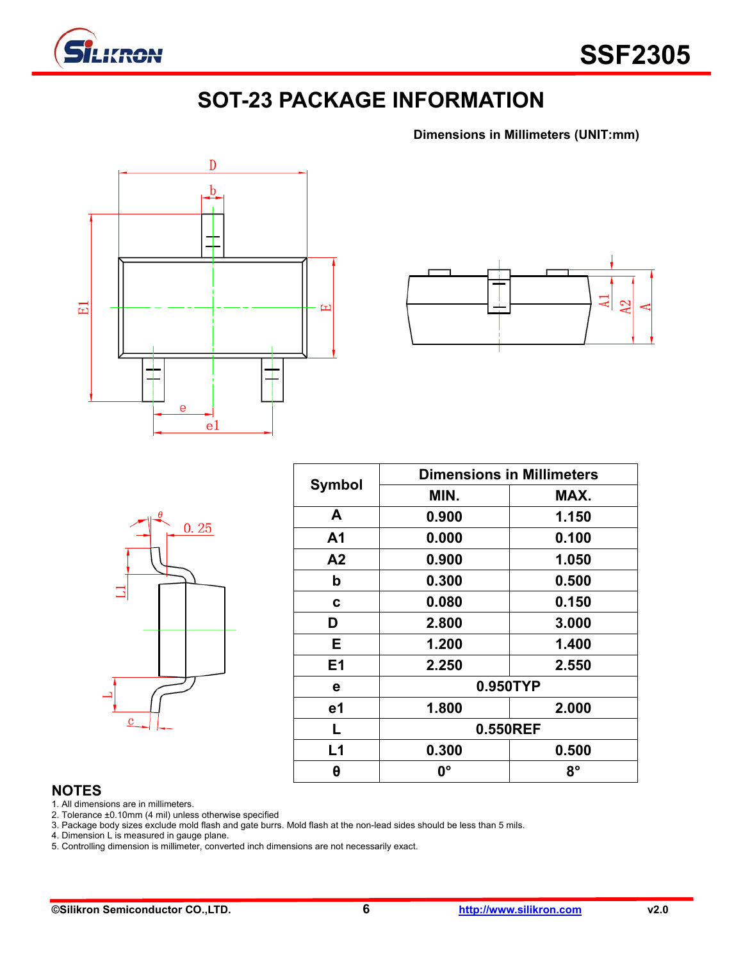

### **SOT-23 PACKAGE INFORMATION**

**Dimensions in Millimeters (UNIT:mm)**





|         | $\theta$ | 0.25 |  |
|---------|----------|------|--|
|         |          |      |  |
| $\bf c$ |          |      |  |

| <b>Symbol</b> | <b>Dimensions in Millimeters</b> |       |  |  |  |
|---------------|----------------------------------|-------|--|--|--|
|               | MIN.                             | MAX.  |  |  |  |
| A             | 0.900                            | 1.150 |  |  |  |
| A1            | 0.000                            | 0.100 |  |  |  |
| A2            | 0.900                            | 1.050 |  |  |  |
| b             | 0.300                            | 0.500 |  |  |  |
| C             | 0.080                            | 0.150 |  |  |  |
| D             | 2.800                            | 3.000 |  |  |  |
| E.            | 1.200                            | 1.400 |  |  |  |
| E1            | 2.250<br>2.550                   |       |  |  |  |
| е             | 0.950TYP                         |       |  |  |  |
| e1            | 1.800<br>2.000                   |       |  |  |  |
| L             | 0.550REF                         |       |  |  |  |
| L1            | 0.300                            | 0.500 |  |  |  |
| θ             | <b>0°</b>                        | 8°    |  |  |  |

#### **NOTES**

1. All dimensions are in millimeters.

2. Tolerance ±0.10mm (4 mil) unless otherwise specified

3. Package body sizes exclude mold flash and gate burrs. Mold flash at the non-lead sides should be less than 5 mils.

4. Dimension L is measured in gauge plane.

5. Controlling dimension is millimeter, converted inch dimensions are not necessarily exact.